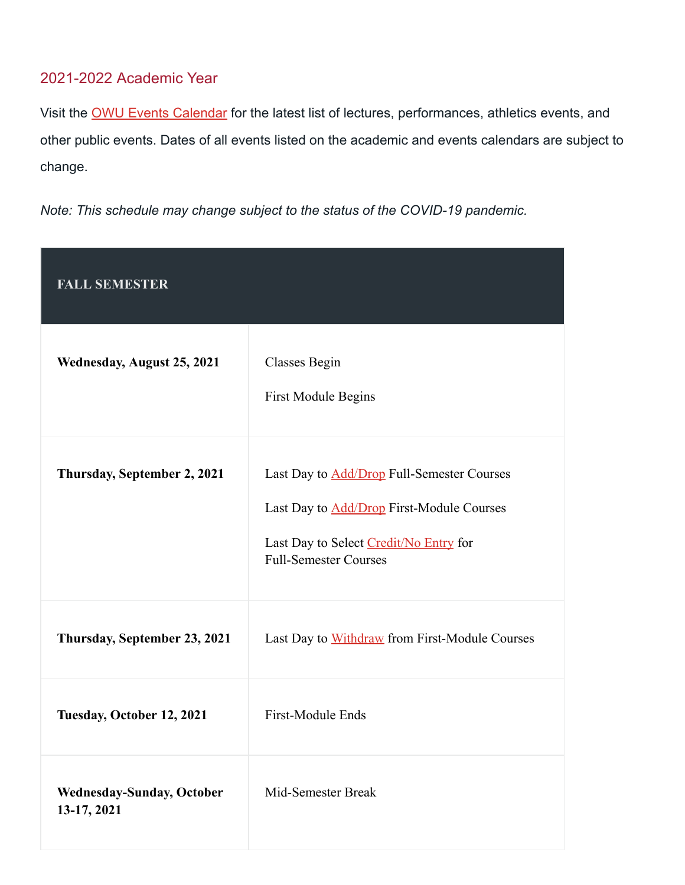## 2021-2022 Academic Year

Visit the OWU Events [Calendar](https://www.owu.edu/calendars/) for the latest list of lectures, performances, athletics events, and other public events. Dates of all events listed on the academic and events calendars are subject to change.

*Note: This schedule may change subject to the status of the COVID-19 pandemic.*

| <b>FALL SEMESTER</b>                            |                                                                                                                                                                                 |
|-------------------------------------------------|---------------------------------------------------------------------------------------------------------------------------------------------------------------------------------|
| Wednesday, August 25, 2021                      | Classes Begin<br><b>First Module Begins</b>                                                                                                                                     |
| Thursday, September 2, 2021                     | Last Day to <b>Add/Drop</b> Full-Semester Courses<br>Last Day to <b>Add/Drop</b> First-Module Courses<br>Last Day to Select Credit/No Entry for<br><b>Full-Semester Courses</b> |
| Thursday, September 23, 2021                    | Last Day to Withdraw from First-Module Courses                                                                                                                                  |
| Tuesday, October 12, 2021                       | First-Module Ends                                                                                                                                                               |
| <b>Wednesday-Sunday, October</b><br>13-17, 2021 | Mid-Semester Break                                                                                                                                                              |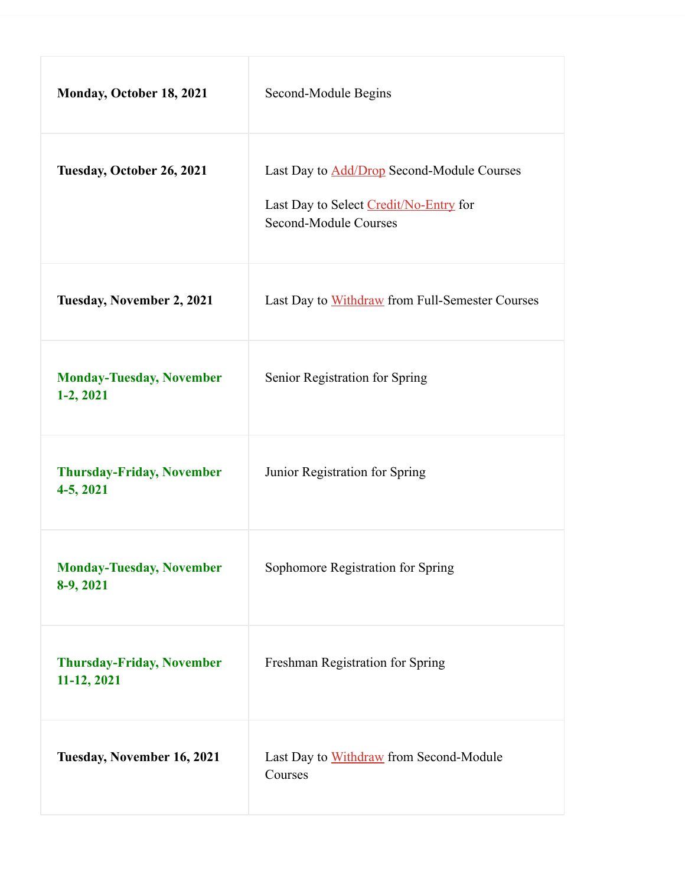| Monday, October 18, 2021                        | Second-Module Begins                                                                                                 |
|-------------------------------------------------|----------------------------------------------------------------------------------------------------------------------|
| Tuesday, October 26, 2021                       | Last Day to <b>Add/Drop</b> Second-Module Courses<br>Last Day to Select Credit/No-Entry for<br>Second-Module Courses |
| <b>Tuesday, November 2, 2021</b>                | Last Day to Withdraw from Full-Semester Courses                                                                      |
| <b>Monday-Tuesday, November</b><br>$1-2, 2021$  | Senior Registration for Spring                                                                                       |
| <b>Thursday-Friday, November</b><br>4-5, 2021   | Junior Registration for Spring                                                                                       |
| <b>Monday-Tuesday, November</b><br>8-9, 2021    | Sophomore Registration for Spring                                                                                    |
| <b>Thursday-Friday, November</b><br>11-12, 2021 | Freshman Registration for Spring                                                                                     |
| Tuesday, November 16, 2021                      | Last Day to Withdraw from Second-Module<br>Courses                                                                   |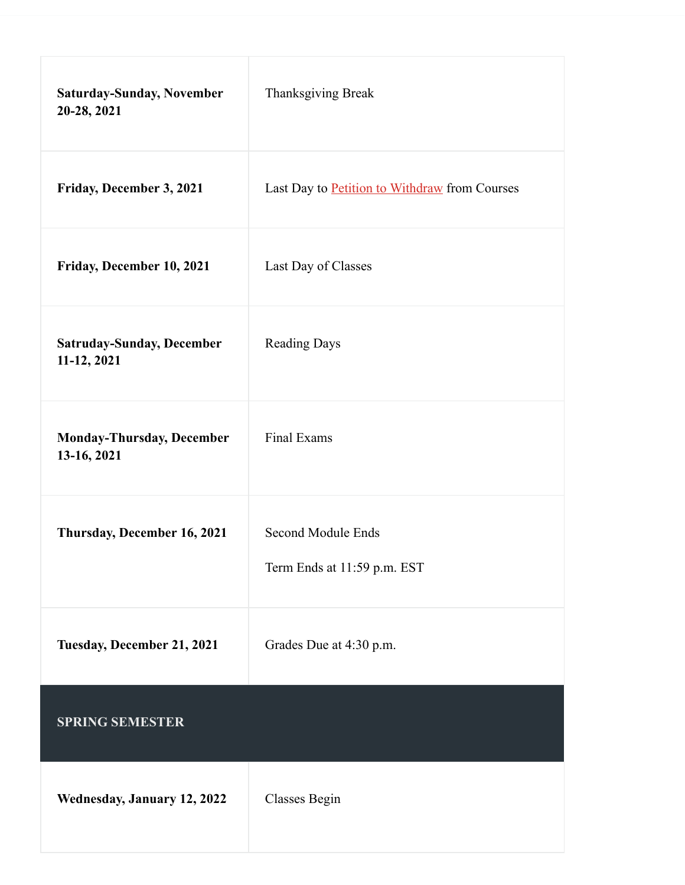| <b>Saturday-Sunday, November</b><br>20-28, 2021 | Thanksgiving Break                                |
|-------------------------------------------------|---------------------------------------------------|
| Friday, December 3, 2021                        | Last Day to Petition to Withdraw from Courses     |
| Friday, December 10, 2021                       | Last Day of Classes                               |
| <b>Satruday-Sunday, December</b><br>11-12, 2021 | <b>Reading Days</b>                               |
| <b>Monday-Thursday, December</b><br>13-16, 2021 | <b>Final Exams</b>                                |
| Thursday, December 16, 2021                     | Second Module Ends<br>Term Ends at 11:59 p.m. EST |
| Tuesday, December 21, 2021                      | Grades Due at 4:30 p.m.                           |
| <b>SPRING SEMESTER</b>                          |                                                   |
| Wednesday, January 12, 2022                     | Classes Begin                                     |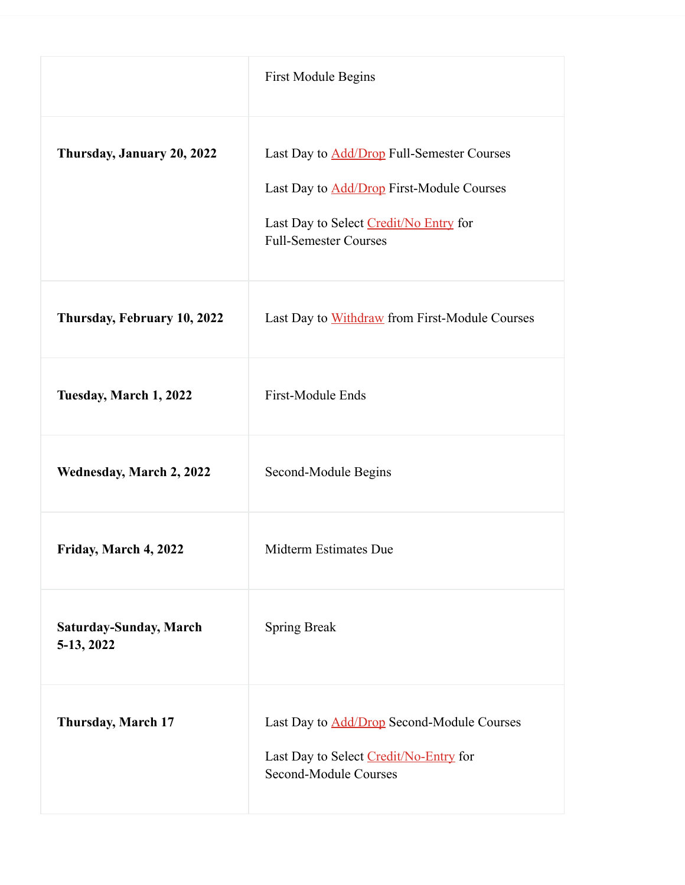|                                      | <b>First Module Begins</b>                                                                                                                                                      |
|--------------------------------------|---------------------------------------------------------------------------------------------------------------------------------------------------------------------------------|
| Thursday, January 20, 2022           | Last Day to <b>Add/Drop</b> Full-Semester Courses<br>Last Day to <b>Add/Drop</b> First-Module Courses<br>Last Day to Select Credit/No Entry for<br><b>Full-Semester Courses</b> |
| Thursday, February 10, 2022          | Last Day to Withdraw from First-Module Courses                                                                                                                                  |
| Tuesday, March 1, 2022               | First-Module Ends                                                                                                                                                               |
| <b>Wednesday, March 2, 2022</b>      | Second-Module Begins                                                                                                                                                            |
| Friday, March 4, 2022                | Midterm Estimates Due                                                                                                                                                           |
| Saturday-Sunday, March<br>5-13, 2022 | <b>Spring Break</b>                                                                                                                                                             |
| Thursday, March 17                   | Last Day to <b>Add/Drop</b> Second-Module Courses<br>Last Day to Select Credit/No-Entry for<br>Second-Module Courses                                                            |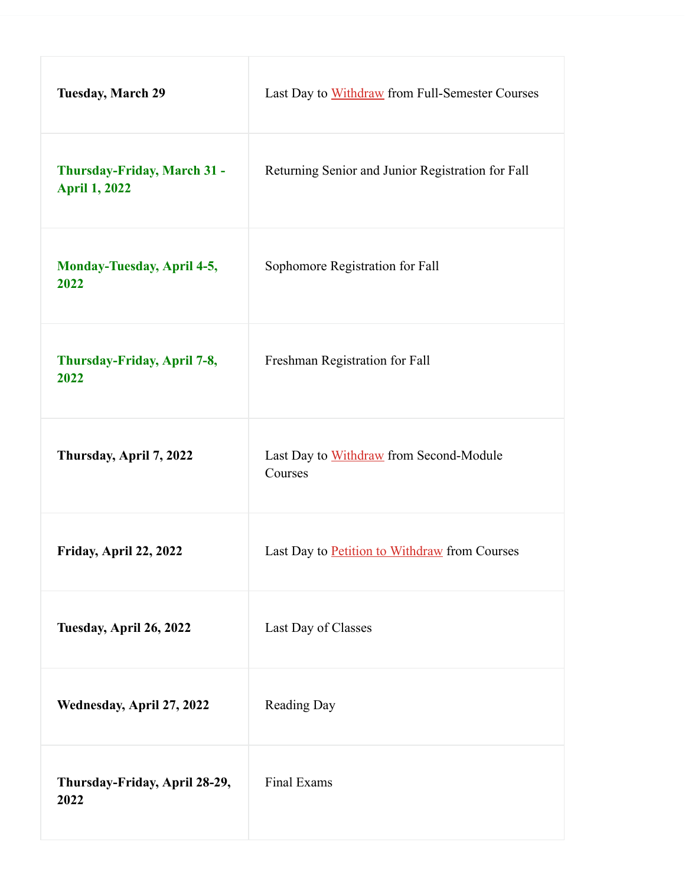| <b>Tuesday, March 29</b>                            | Last Day to Withdraw from Full-Semester Courses    |
|-----------------------------------------------------|----------------------------------------------------|
| Thursday-Friday, March 31 -<br><b>April 1, 2022</b> | Returning Senior and Junior Registration for Fall  |
| <b>Monday-Tuesday, April 4-5,</b><br>2022           | Sophomore Registration for Fall                    |
| Thursday-Friday, April 7-8,<br>2022                 | Freshman Registration for Fall                     |
| Thursday, April 7, 2022                             | Last Day to Withdraw from Second-Module<br>Courses |
| Friday, April 22, 2022                              | Last Day to Petition to Withdraw from Courses      |
| Tuesday, April 26, 2022                             | Last Day of Classes                                |
| Wednesday, April 27, 2022                           | <b>Reading Day</b>                                 |
| Thursday-Friday, April 28-29,<br>2022               | Final Exams                                        |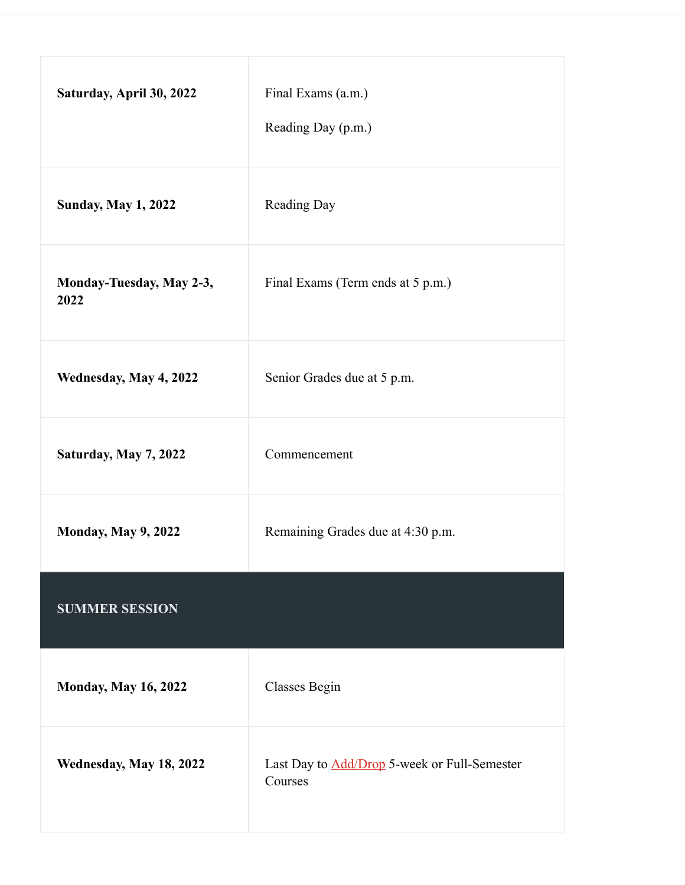| Saturday, April 30, 2022         | Final Exams (a.m.)<br>Reading Day (p.m.)                       |
|----------------------------------|----------------------------------------------------------------|
| <b>Sunday, May 1, 2022</b>       | Reading Day                                                    |
| Monday-Tuesday, May 2-3,<br>2022 | Final Exams (Term ends at 5 p.m.)                              |
| Wednesday, May 4, 2022           | Senior Grades due at 5 p.m.                                    |
| Saturday, May 7, 2022            | Commencement                                                   |
| <b>Monday, May 9, 2022</b>       | Remaining Grades due at 4:30 p.m.                              |
| <b>SUMMER SESSION</b>            |                                                                |
| <b>Monday, May 16, 2022</b>      | Classes Begin                                                  |
| Wednesday, May 18, 2022          | Last Day to <b>Add/Drop</b> 5-week or Full-Semester<br>Courses |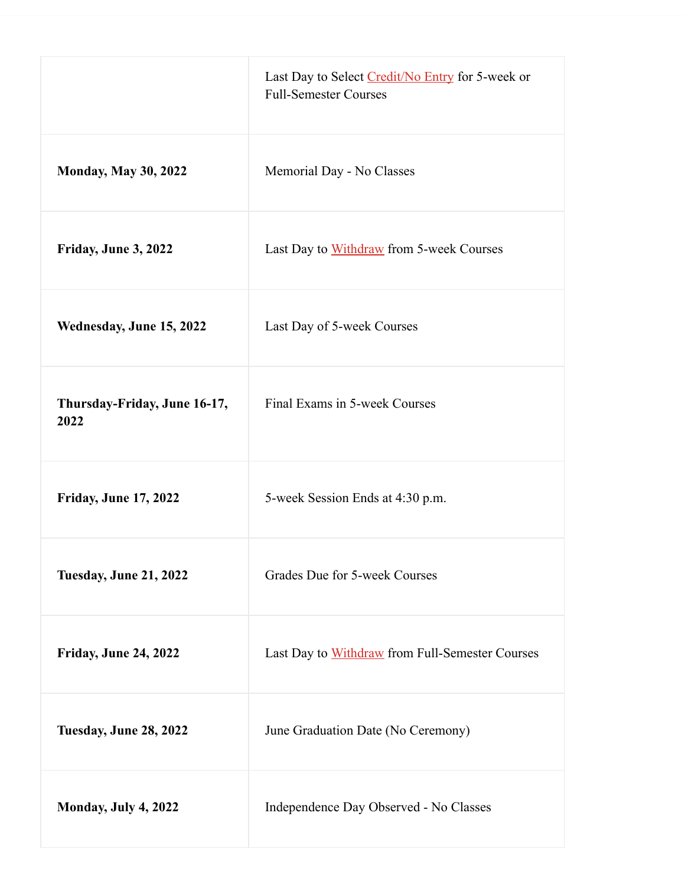|                                      | Last Day to Select Credit/No Entry for 5-week or<br><b>Full-Semester Courses</b> |
|--------------------------------------|----------------------------------------------------------------------------------|
| <b>Monday, May 30, 2022</b>          | Memorial Day - No Classes                                                        |
| Friday, June 3, 2022                 | Last Day to Withdraw from 5-week Courses                                         |
| Wednesday, June 15, 2022             | Last Day of 5-week Courses                                                       |
| Thursday-Friday, June 16-17,<br>2022 | Final Exams in 5-week Courses                                                    |
| <b>Friday, June 17, 2022</b>         | 5-week Session Ends at 4:30 p.m.                                                 |
| <b>Tuesday, June 21, 2022</b>        | Grades Due for 5-week Courses                                                    |
| <b>Friday, June 24, 2022</b>         | Last Day to Withdraw from Full-Semester Courses                                  |
| <b>Tuesday, June 28, 2022</b>        | June Graduation Date (No Ceremony)                                               |
| Monday, July 4, 2022                 | Independence Day Observed - No Classes                                           |